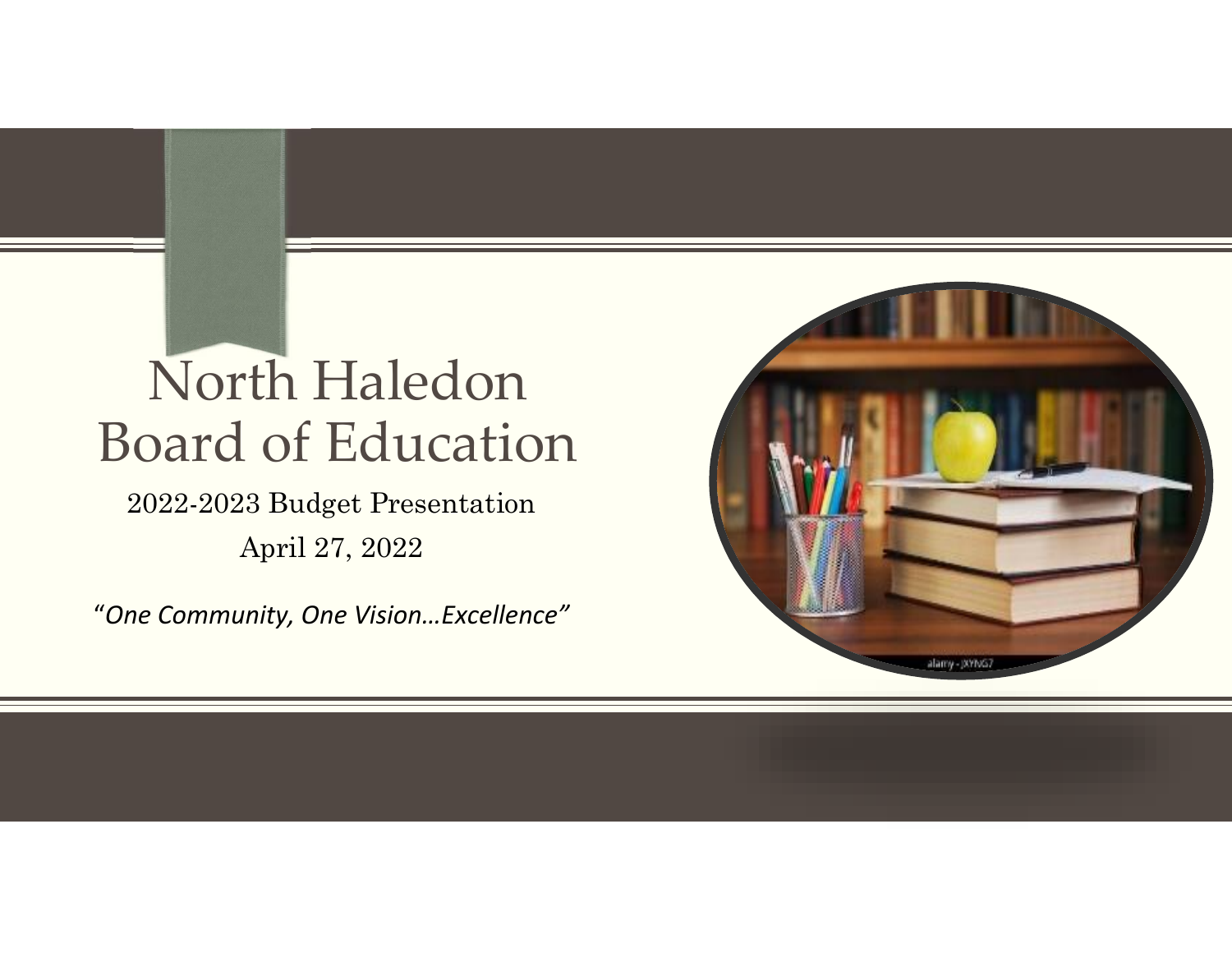# North Haledon Board of Education

2022-2023 Budget Presentation April 27, 2022

"*One Community, One Vision…Excellence"*

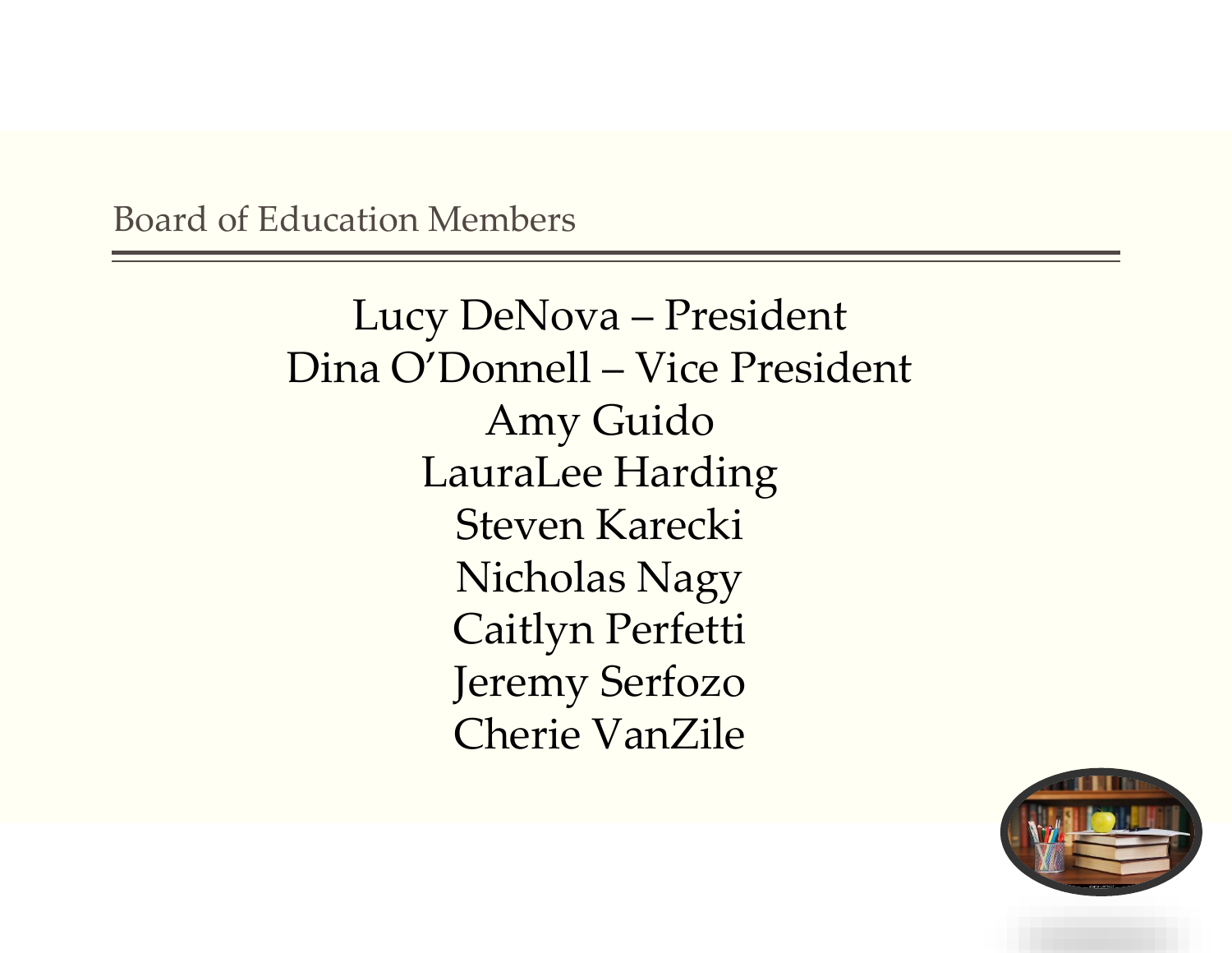Board of Education Members

Lucy DeNova – President Dina O'Donnell – Vice President Amy Guido LauraLee Harding Steven Karecki Nicholas Nagy Caitlyn Perfetti Jeremy Serfozo Cherie VanZile

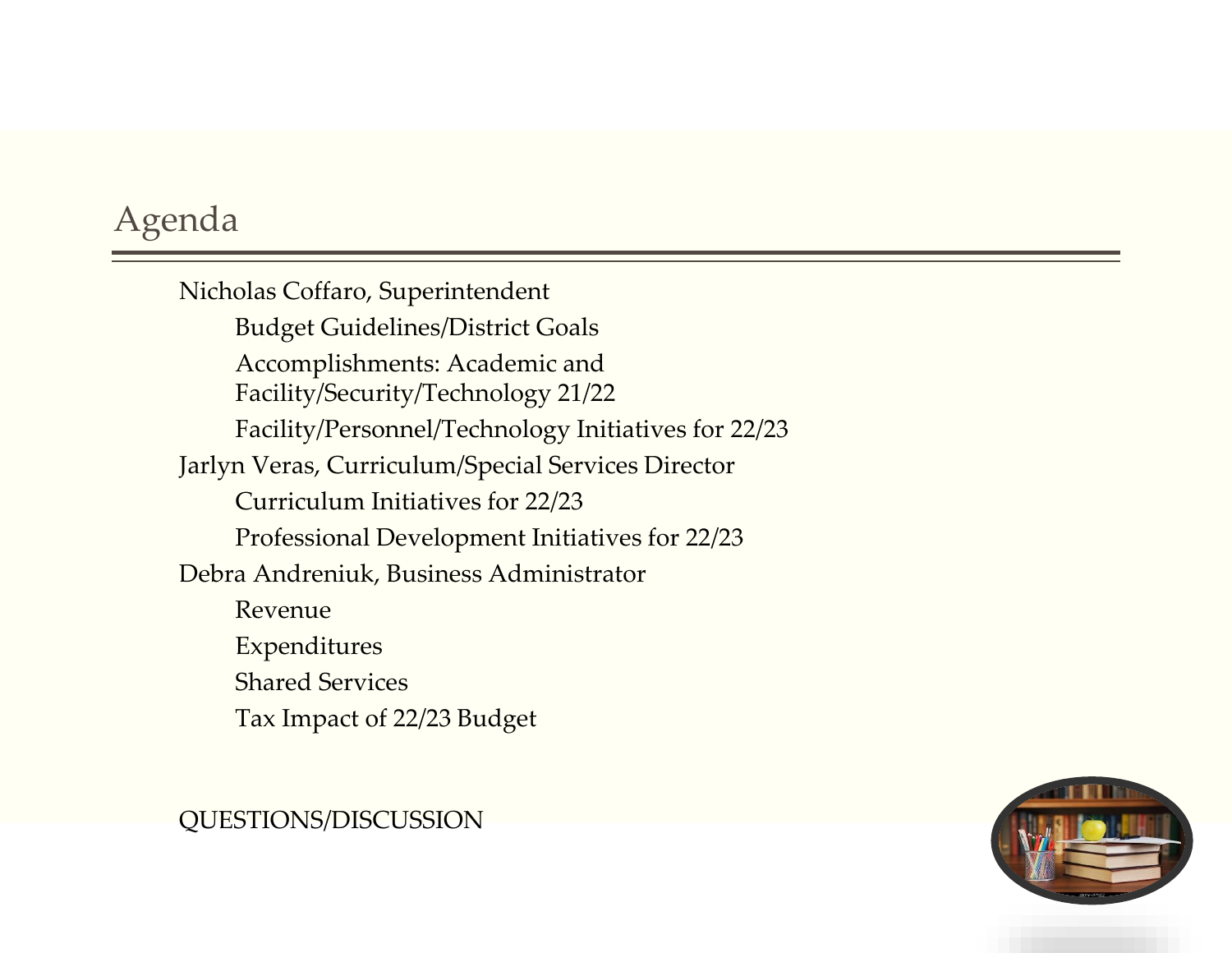### Agenda

Nicholas Coffaro, Superintendent Budget Guidelines/District Goals Accomplishments: Academic and Facility/Security/Technology 21/22 Facility/Personnel/Technology Initiatives for 22/23 Jarlyn Veras, Curriculum/Special Services Director Curriculum Initiatives for 22/23 Professional Development Initiatives for 22/23 Debra Andreniuk, Business Administrator Revenue Expenditures Shared Services Tax Impact of 22/23 Budget

#### QUESTIONS/DISCUSSION

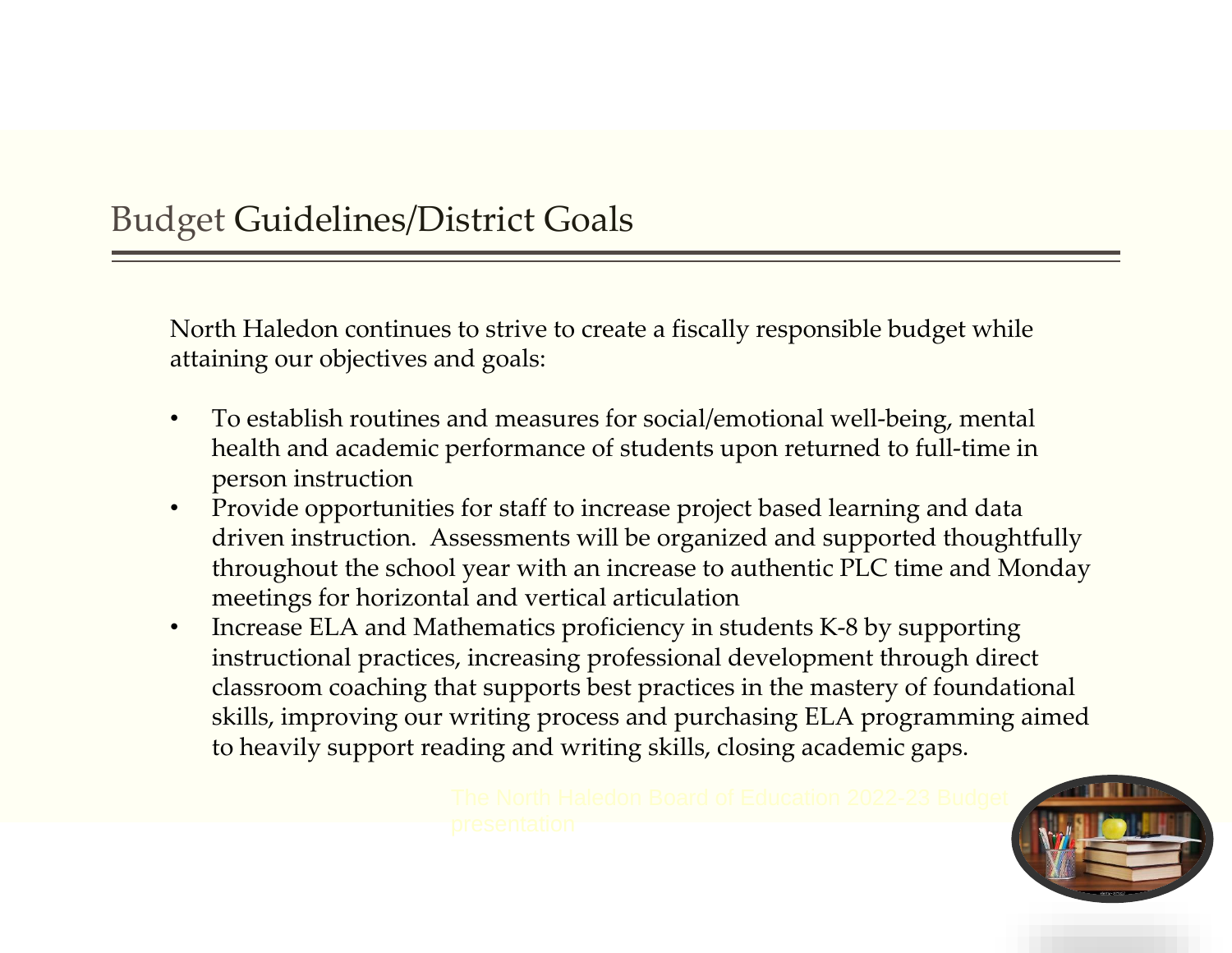### Budget Guidelines/District Goals

North Haledon continues to strive to create a fiscally responsible budget while attaining our objectives and goals:

- To establish routines and measures for social/emotional well-being, mental health and academic performance of students upon returned to full-time in person instruction
- Provide opportunities for staff to increase project based learning and data driven instruction. Assessments will be organized and supported thoughtfully throughout the school year with an increase to authentic PLC time and Monday meetings for horizontal and vertical articulation
- Increase ELA and Mathematics proficiency in students K-8 by supporting instructional practices, increasing professional development through direct classroom coaching that supports best practices in the mastery of foundational skills, improving our writing process and purchasing ELA programming aimed to heavily support reading and writing skills, closing academic gaps.

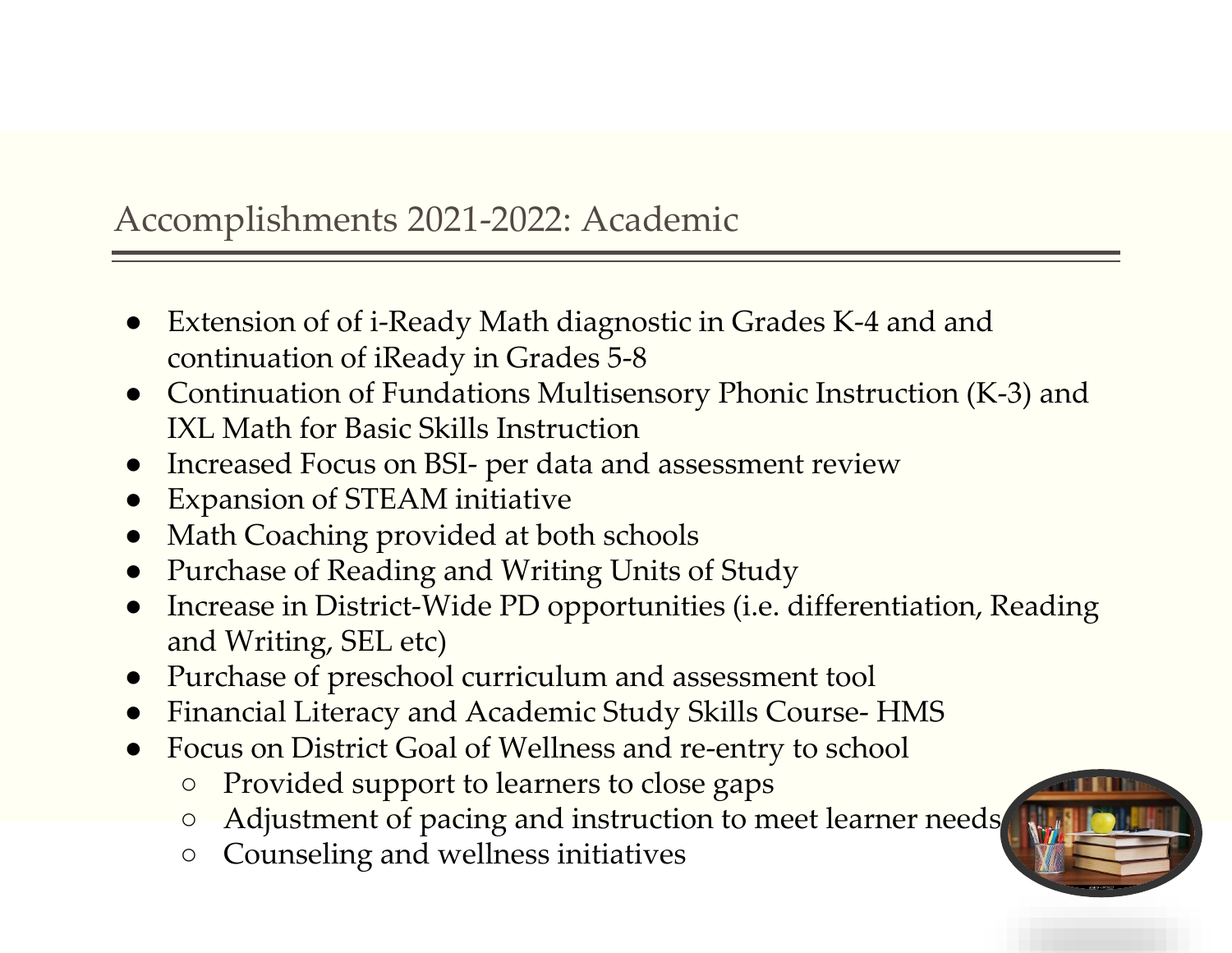### Accomplishments 2021-2022: Academic

- Extension of of i-Ready Math diagnostic in Grades K-4 and and continuation of iReady in Grades 5-8
- Continuation of Fundations Multisensory Phonic Instruction (K-3) and IXL Math for Basic Skills Instruction
- Increased Focus on BSI- per data and assessment review
- Expansion of STEAM initiative
- Math Coaching provided at both schools
- Purchase of Reading and Writing Units of Study
- Increase in District-Wide PD opportunities (i.e. differentiation, Reading and Writing, SEL etc)
- Purchase of preschool curriculum and assessment tool
- Financial Literacy and Academic Study Skills Course- HMS
- Focus on District Goal of Wellness and re-entry to school
	- Provided support to learners to close gaps
	- Adjustment of pacing and instruction to meet learner needs
	- Counseling and wellness initiatives

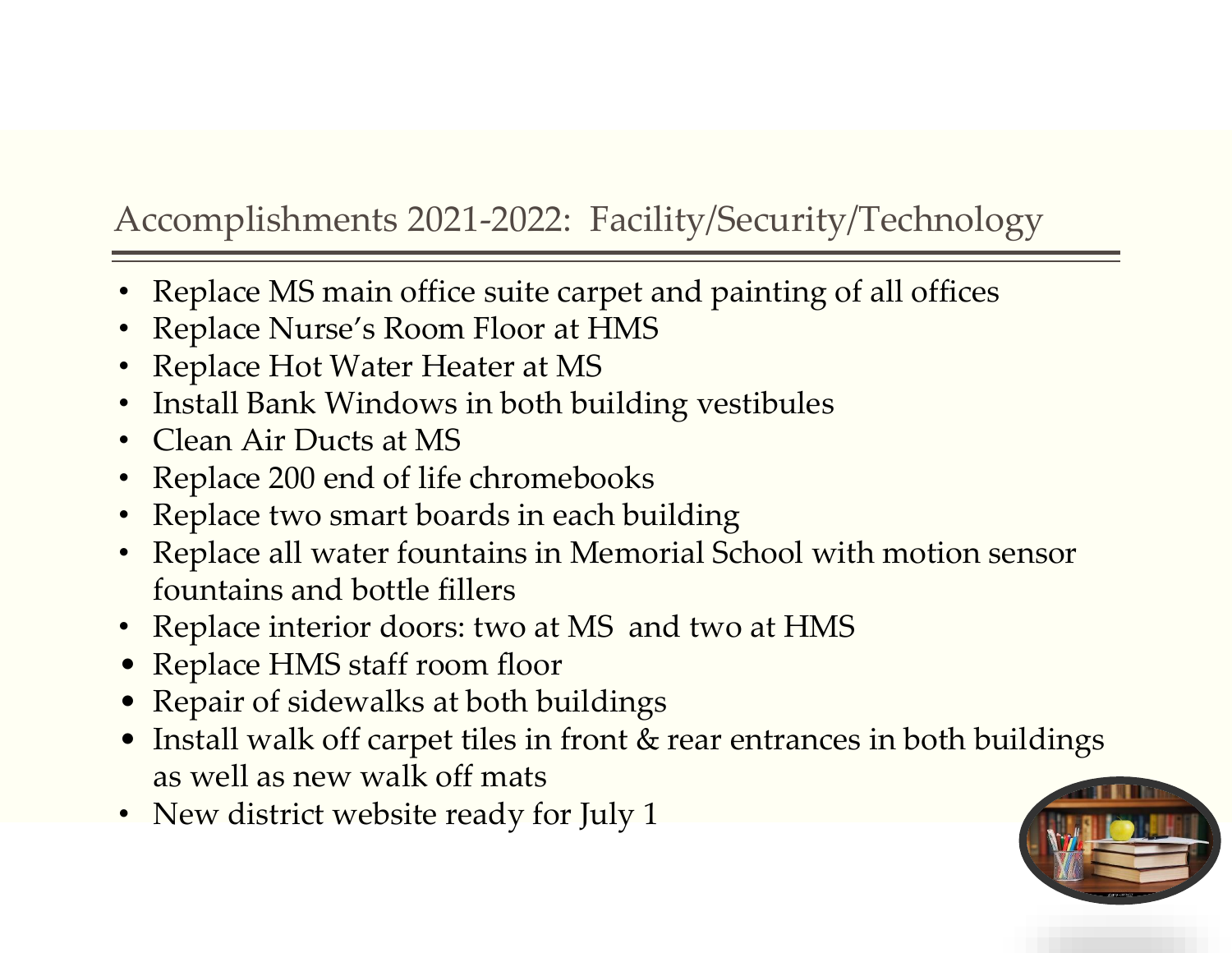### Accomplishments 2021-2022: Facility/Security/Technology

- Replace MS main office suite carpet and painting of all offices
- Replace Nurse's Room Floor at HMS
- Replace Hot Water Heater at MS
- Install Bank Windows in both building vestibules
- Clean Air Ducts at MS
- Replace 200 end of life chromebooks
- Replace two smart boards in each building
- Replace all water fountains in Memorial School with motion sensor fountains and bottle fillers
- Replace interior doors: two at MS and two at HMS
- Replace HMS staff room floor
- Repair of sidewalks at both buildings
- Install walk off carpet tiles in front & rear entrances in both buildings as well as new walk off mats
- New district website ready for July 1

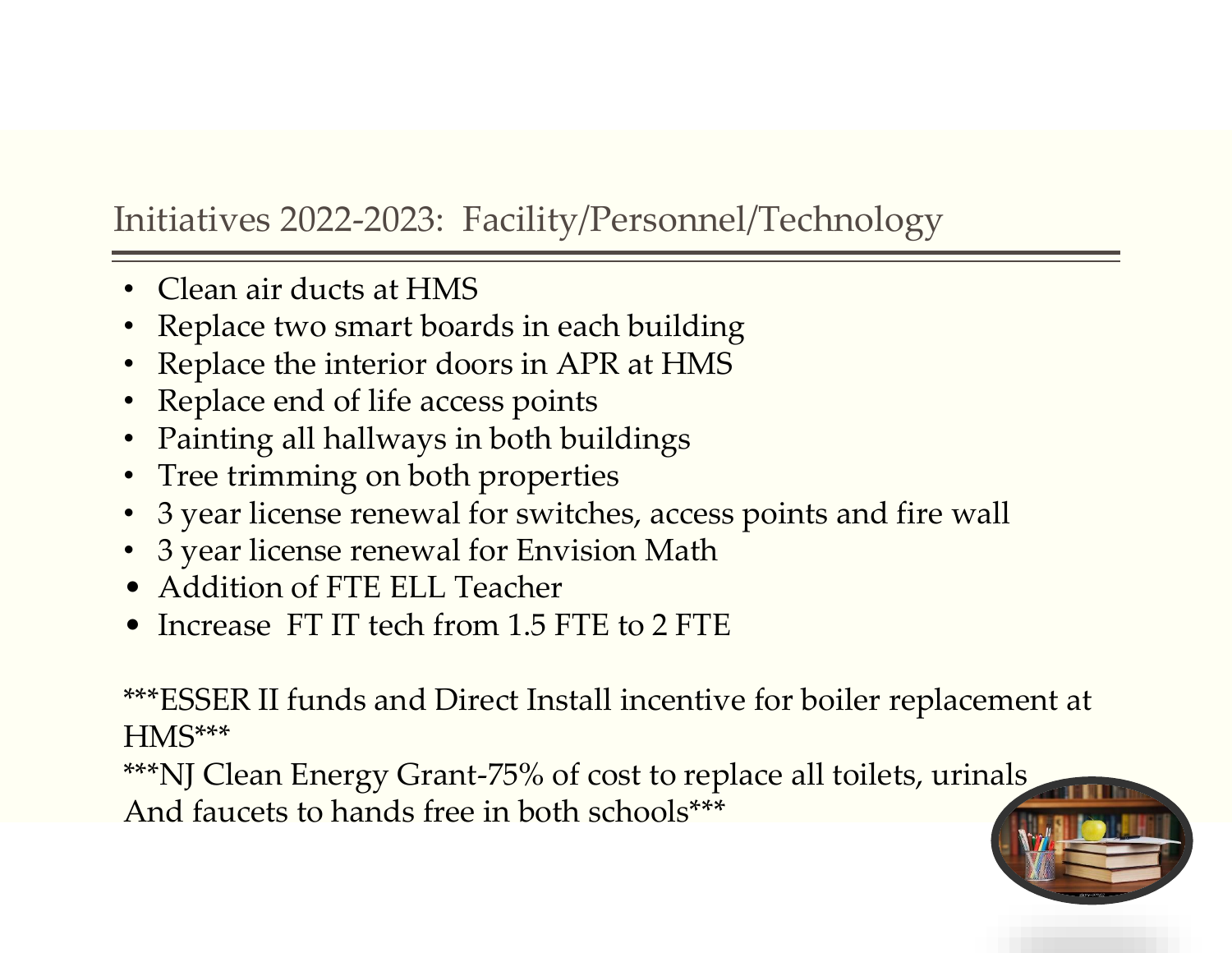### Initiatives 2022-2023: Facility/Personnel/Technology

- Clean air ducts at HMS
- Replace two smart boards in each building
- Replace the interior doors in APR at HMS
- Replace end of life access points
- Painting all hallways in both buildings
- Tree trimming on both properties
- 3 year license renewal for switches, access points and fire wall
- 3 year license renewal for Envision Math
- Addition of FTE ELL Teacher
- Increase FT IT tech from 1.5 FTE to 2 FTE

\*\*\*ESSER II funds and Direct Install incentive for boiler replacement at HMS\*\*\*

\*\*\*NJ Clean Energy Grant-75% of cost to replace all toilets, urinals And faucets to hands free in both schools\*\*\*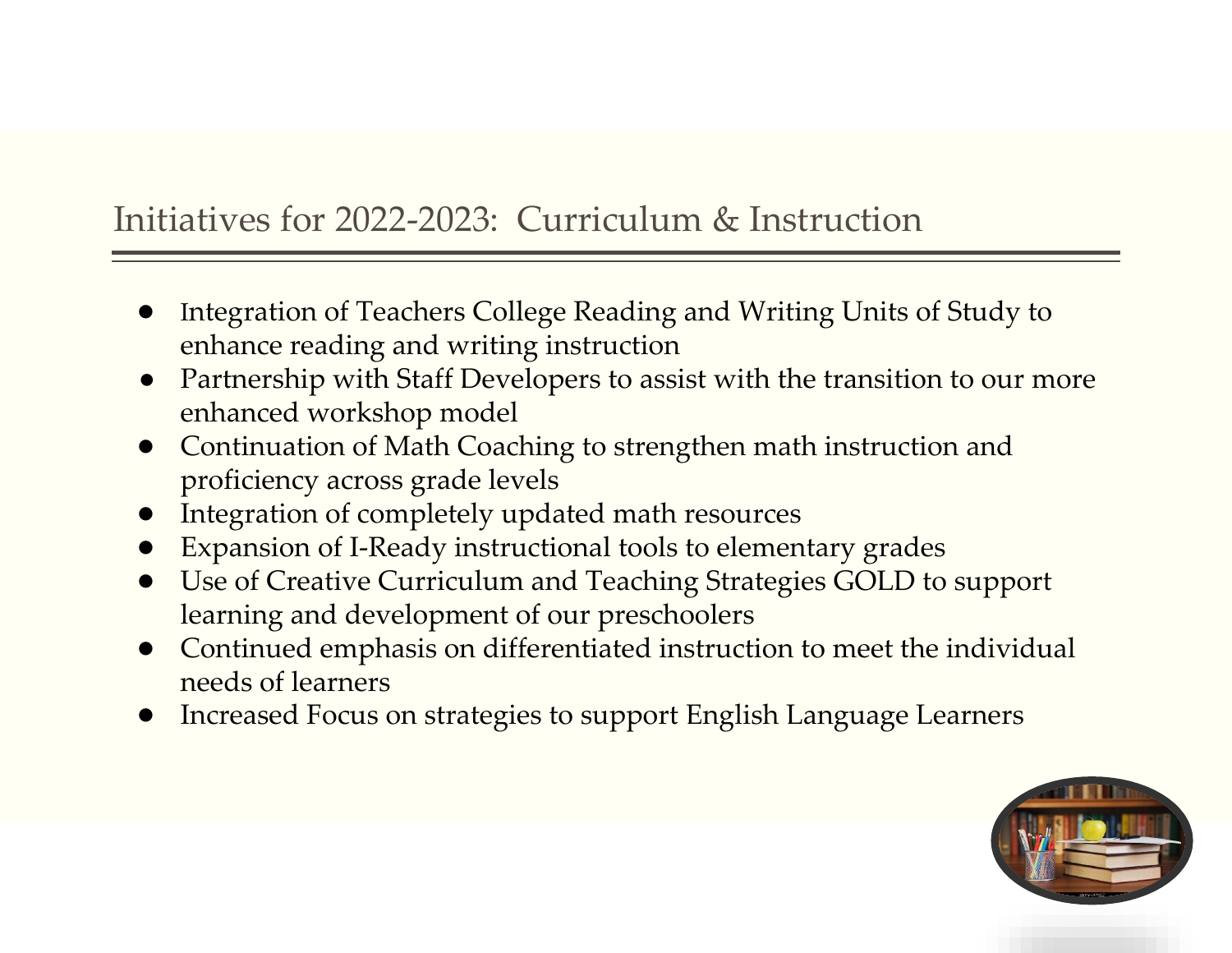### Initiatives for 2022-2023: Curriculum & Instruction

- Integration of Teachers College Reading and Writing Units of Study to enhance reading and writing instruction
- Partnership with Staff Developers to assist with the transition to our more enhanced workshop model
- Continuation of Math Coaching to strengthen math instruction and proficiency across grade levels
- Integration of completely updated math resources
- **Expansion of I-Ready instructional tools to elementary grades**
- Use of Creative Curriculum and Teaching Strategies GOLD to support learning and development of our preschoolers
- Continued emphasis on differentiated instruction to meet the individual needs of learners
- Increased Focus on strategies to support English Language Learners

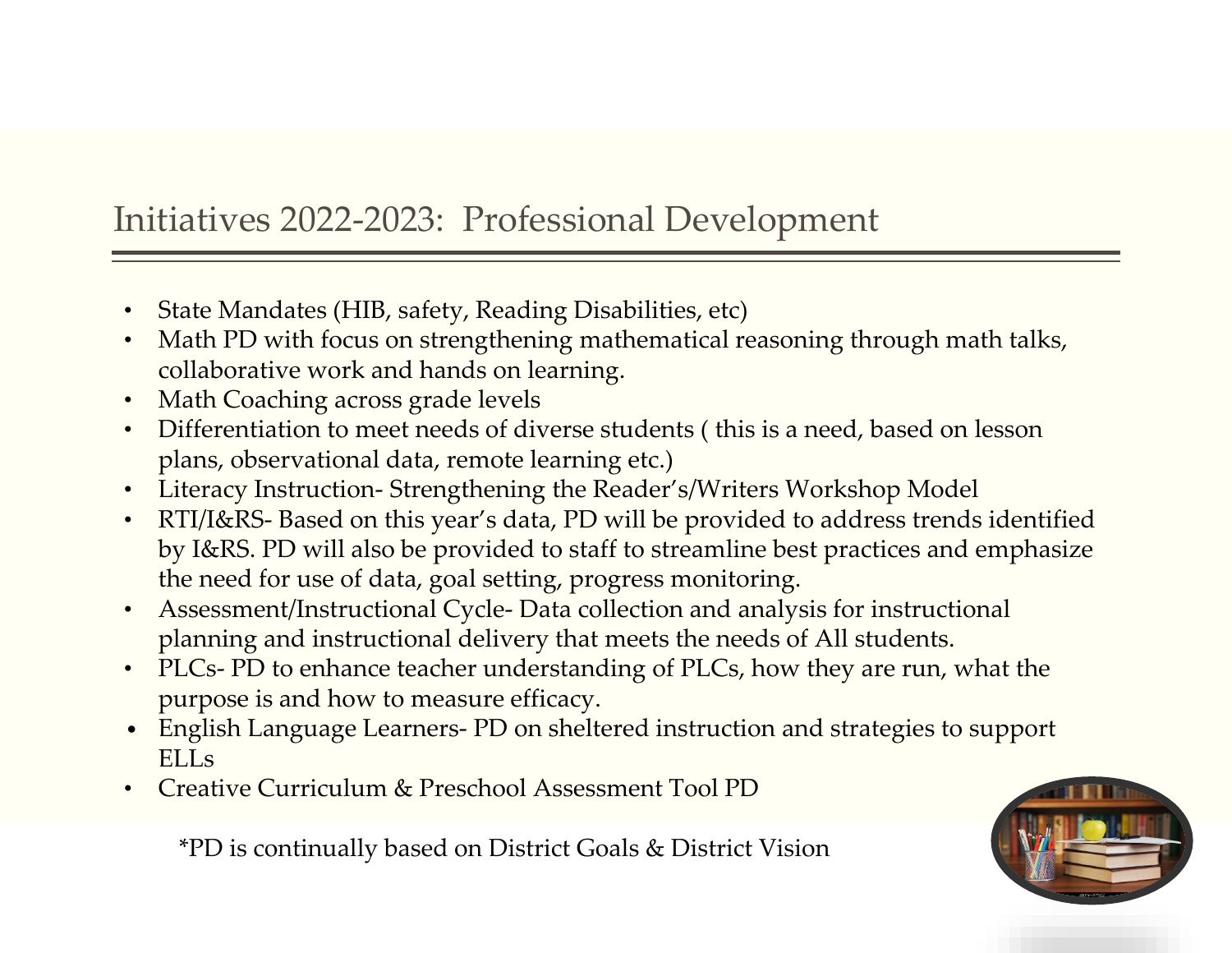### Initiatives 2022-2023: Professional Development

- State Mandates (HIB, safety, Reading Disabilities, etc)
- Math PD with focus on strengthening mathematical reasoning through math talks, collaborative work and hands on learning.
- Math Coaching across grade levels
- Differentiation to meet needs of diverse students ( this is a need, based on lesson plans, observational data, remote learning etc.)
- Literacy Instruction- Strengthening the Reader's/Writers Workshop Model
- RTI/I&RS- Based on this year's data, PD will be provided to address trends identified by I&RS. PD will also be provided to staff to streamline best practices and emphasize the need for use of data, goal setting, progress monitoring.
- Assessment/Instructional Cycle- Data collection and analysis for instructional planning and instructional delivery that meets the needs of All students.
- PLCs- PD to enhance teacher understanding of PLCs, how they are run, what the purpose is and how to measure efficacy.
- English Language Learners- PD on sheltered instruction and strategies to support ELLs
- Creative Curriculum & Preschool Assessment Tool PD

\*PD is continually based on District Goals & District Vision

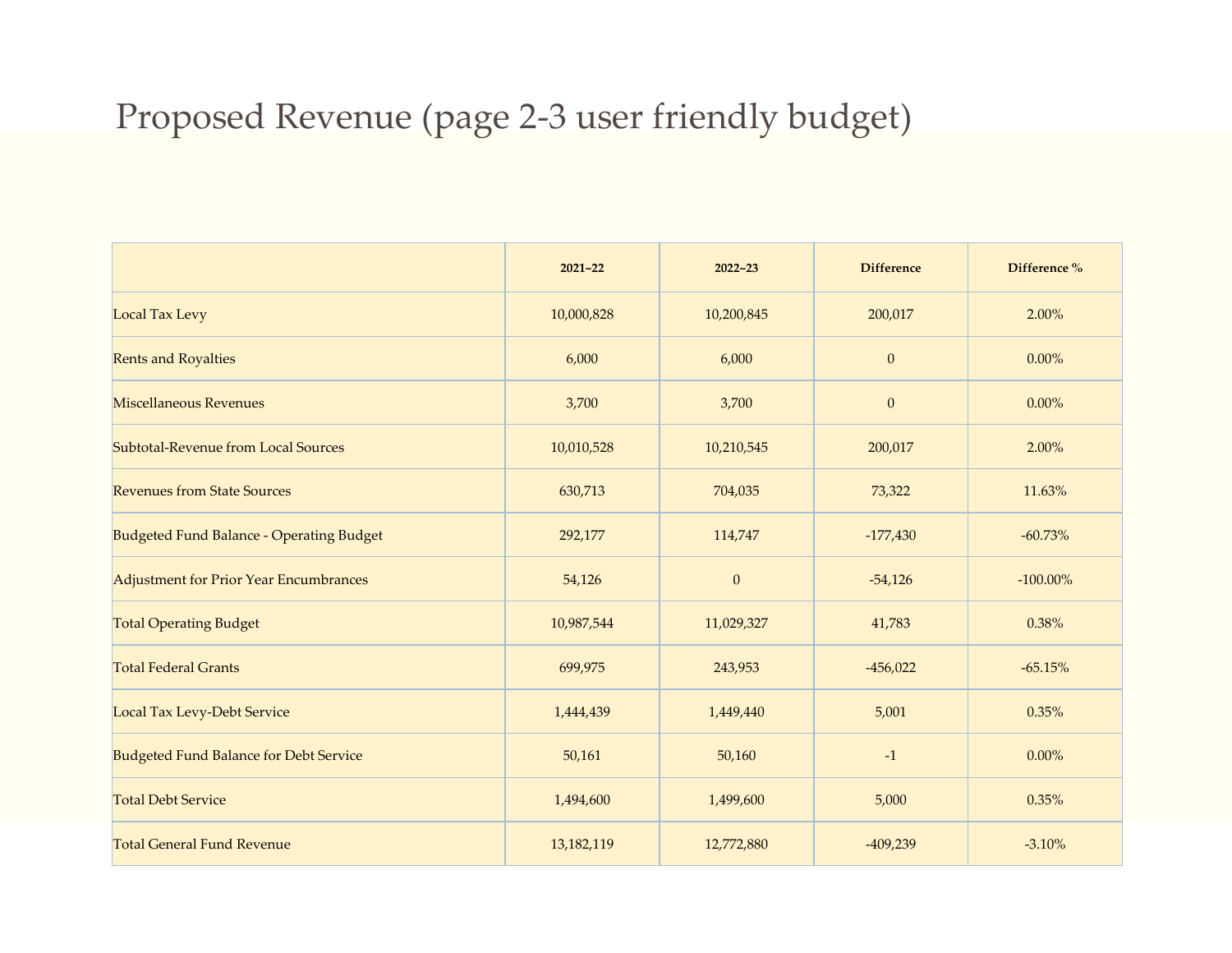#### Proposed Revenue (page 2-3 user friendly budget)

|                                                 | $2021 - 22$ | $2022 - 23$  | <b>Difference</b> | Difference % |
|-------------------------------------------------|-------------|--------------|-------------------|--------------|
| <b>Local Tax Levy</b>                           | 10,000,828  | 10,200,845   | 200,017           | 2.00%        |
| <b>Rents and Royalties</b>                      | 6,000       | 6,000        | $\boldsymbol{0}$  | $0.00\%$     |
| <b>Miscellaneous Revenues</b>                   | 3,700       | 3,700        | $\mathbf{0}$      | $0.00\%$     |
| Subtotal-Revenue from Local Sources             | 10,010,528  | 10,210,545   | 200,017           | 2.00%        |
| <b>Revenues from State Sources</b>              | 630,713     | 704,035      | 73,322            | 11.63%       |
| <b>Budgeted Fund Balance - Operating Budget</b> | 292,177     | 114,747      | $-177,430$        | $-60.73%$    |
| Adjustment for Prior Year Encumbrances          | 54,126      | $\mathbf{0}$ | $-54,126$         | $-100.00\%$  |
| <b>Total Operating Budget</b>                   | 10,987,544  | 11,029,327   | 41,783            | 0.38%        |
| <b>Total Federal Grants</b>                     | 699,975     | 243,953      | $-456,022$        | $-65.15%$    |
| <b>Local Tax Levy-Debt Service</b>              | 1,444,439   | 1,449,440    | 5,001             | 0.35%        |
| <b>Budgeted Fund Balance for Debt Service</b>   | 50,161      | 50,160       | $-1$              | $0.00\%$     |
| <b>Total Debt Service</b>                       | 1,494,600   | 1,499,600    | 5,000             | 0.35%        |
| <b>Total General Fund Revenue</b>               | 13,182,119  | 12,772,880   | $-409,239$        | $-3.10%$     |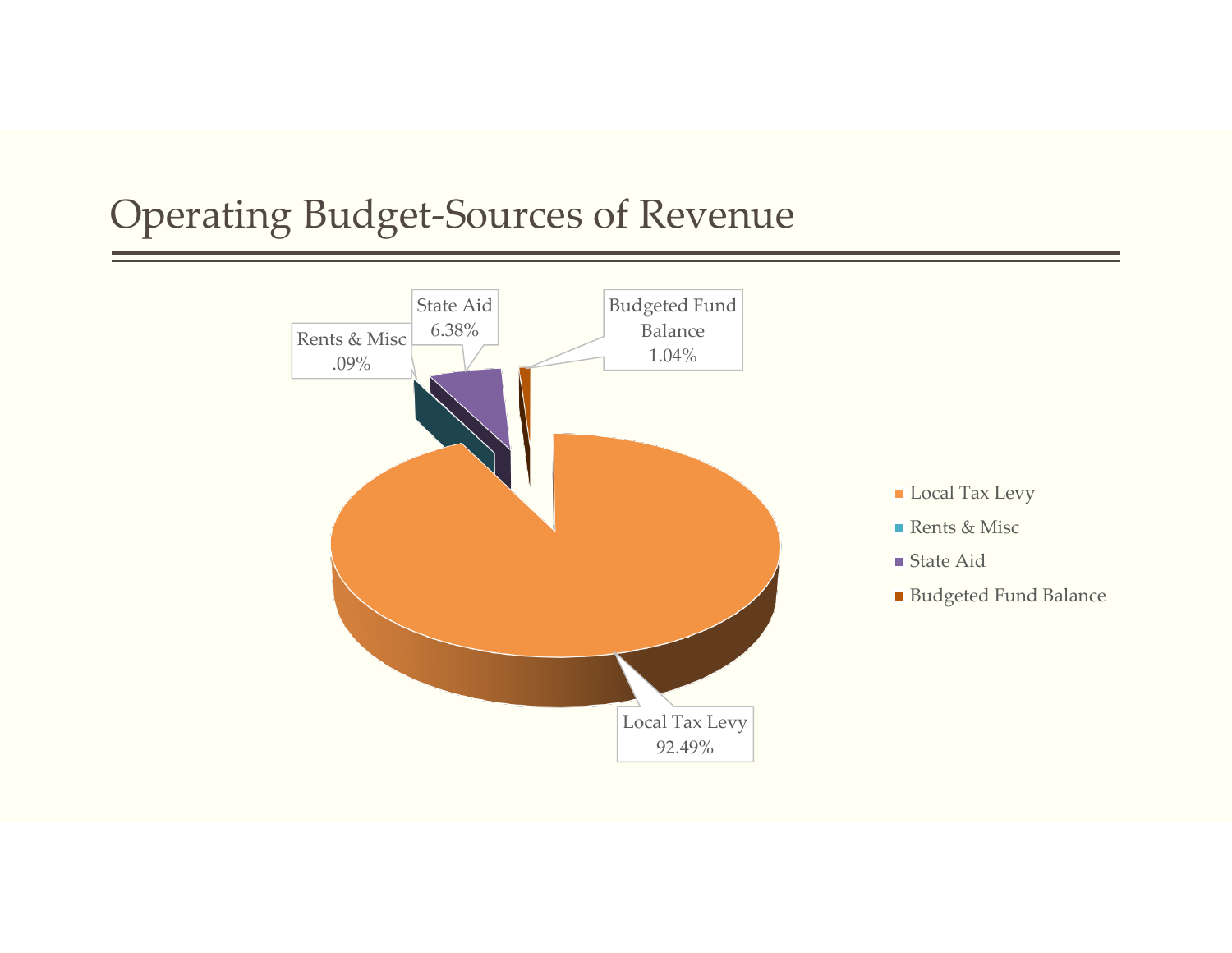### Operating Budget-Sources of Revenue

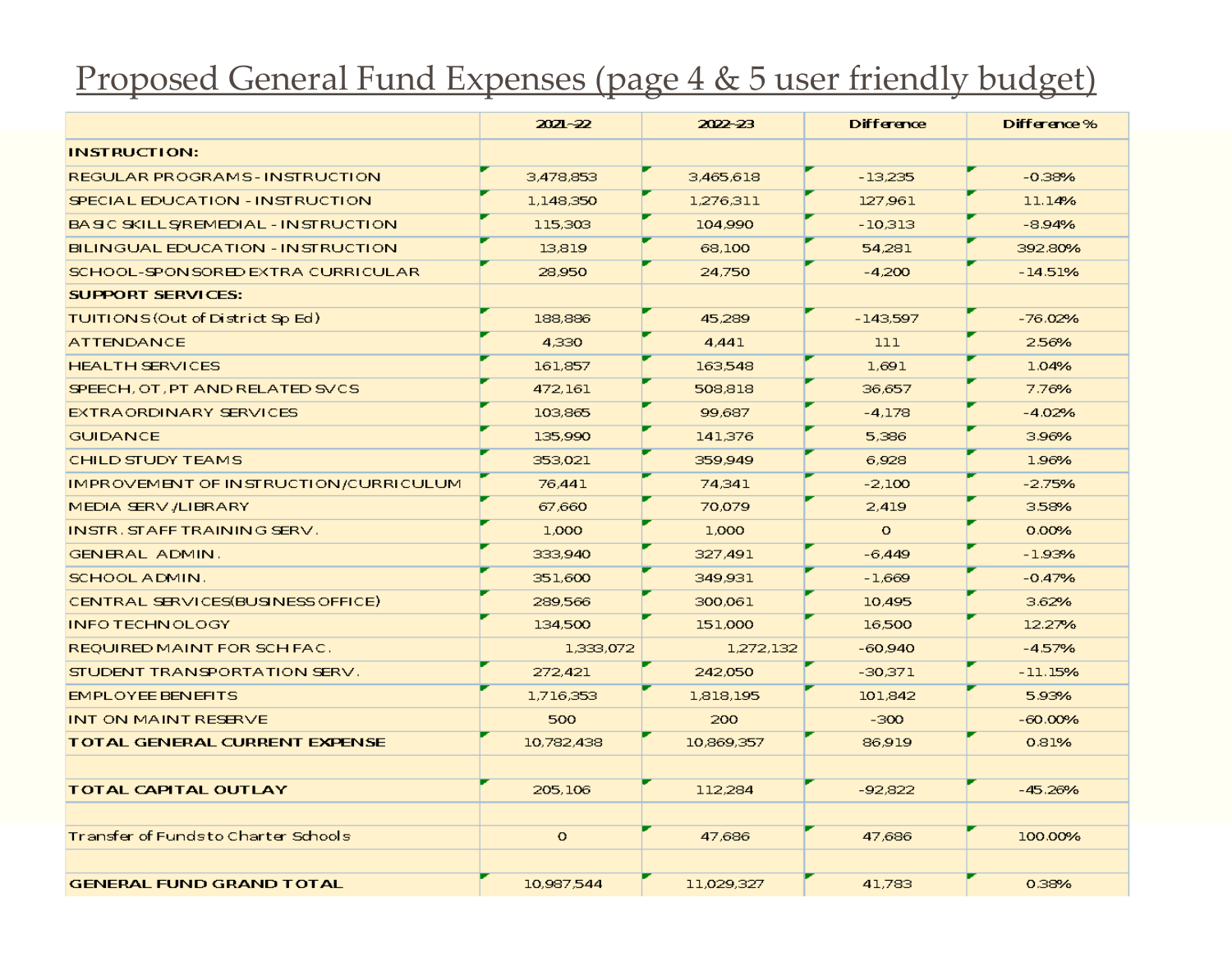#### Proposed General Fund Expenses (page 4 & 5 user friendly budget)

|                                       | $20Z - 22$ | 2022-23    | Difference | Difference% |
|---------------------------------------|------------|------------|------------|-------------|
| <b>INSTRUCTION:</b>                   |            |            |            |             |
| REGULAR PROGRAMS-INSTRUCTION          | 3,478,853  | 3,465,618  | $-13,235$  | $-0.38%$    |
| SPECIAL EDUCATION - INSTRUCTION       | 1,148,350  | 1,276,311  | 127,961    | 11.14%      |
| BASIC SKILL SYREMEDIAL - INSTRUCTION  | 115,303    | 104.990    | $-10.313$  | $-8.94%$    |
| BILINGUAL EDUCATION - INSTRUCTION     | 13,819     | 68,100     | 54,281     | 392.80%     |
| SCHOOL-SPONSORED EXTRA CURRICULAR     | 28,950     | 24,750     | $-4,200$   | $-14.51%$   |
| <b>SUPPORT SERVICES:</b>              |            |            |            |             |
| TUITIONS (Out of District Sp Ed)      | 188,886    | 45,289     | $-143.597$ | $-76.02%$   |
| <b>ATTENDANCE</b>                     | 4,330      | 4,441      | 111        | 2.56%       |
| <b>HEALTH SERVICES</b>                | 161,857    | 163,548    | 1,691      | 1.04%       |
| SPEECH, OT, PT AND RELATED SVCS       | 472,161    | 508,818    | 36,657     | 7.76%       |
| EXTRAORDINARY SERVICES                | 103,865    | 99.687     | $-4.178$   | $-4.02%$    |
| <b>GUIDANCE</b>                       | 135,990    | 141,376    | 5,386      | 3.96%       |
| <b>CHILD STUDY TEAMS</b>              | 353,021    | 359,949    | 6,928      | 1.96%       |
| IMPROVEMENT OF INSTRUCTION/CURRICULUM | 76,441     | 74.341     | $-2,100$   | $-2.75%$    |
| MEDIA SERV /LIBRARY                   | 67,660     | 70.079     | 2.419      | 3.58%       |
| INSTR. STAFF TRAINING SERV.           | 1,000      | 1,000      | $\circ$    | 0.00%       |
| <b>GENERAL ADMIN.</b>                 | 333,940    | 327,491    | $-6,449$   | $-1.93%$    |
| SCHOOL ADMIN.                         | 351,600    | 349,931    | $-1.669$   | $-0.47%$    |
| CENTRAL SERVICES(BUSINESS OFFICE)     | 289,566    | 300.061    | 10,495     | 3.62%       |
| <b>INFO TECHN OLOGY</b>               | 134,500    | 151,000    | 16,500     | 12.27%      |
| REQUIRED MAINT FOR SCH FAC.           | 1,333,072  | 1,272,132  | $-60.940$  | $-4.57%$    |
| STUDENT TRANSPORTATION SERV.          | 272,421    | 242.050    | $-30,371$  | $-11.15%$   |
| <b>EMPLOYEE BENEFITS</b>              | 1,716,353  | 1,818,195  | 101,842    | 5.93%       |
| INT ON MAINT RESERVE                  | 500        | 200        | $-300$     | $-60.00%$   |
| <b>TOTAL GENERAL CURRENT EXPENSE</b>  | 10,782,438 | 10,869,357 | 86.919     | 0.81%       |
|                                       |            |            |            |             |
| <b>TOTAL CAPITAL OUTLAY</b>           | 205,106    | 112,284    | $-92.822$  | $-45.26%$   |
|                                       |            |            |            |             |
| Transfer of Fundsto Charter Schools   | $\circ$    | 47,686     | 47,686     | 100.00%     |
|                                       |            |            |            |             |
| <b>GENERAL FUND GRAND TOTAL</b>       | 10,987,544 | 11,029,327 | 41,783     | 0.38%       |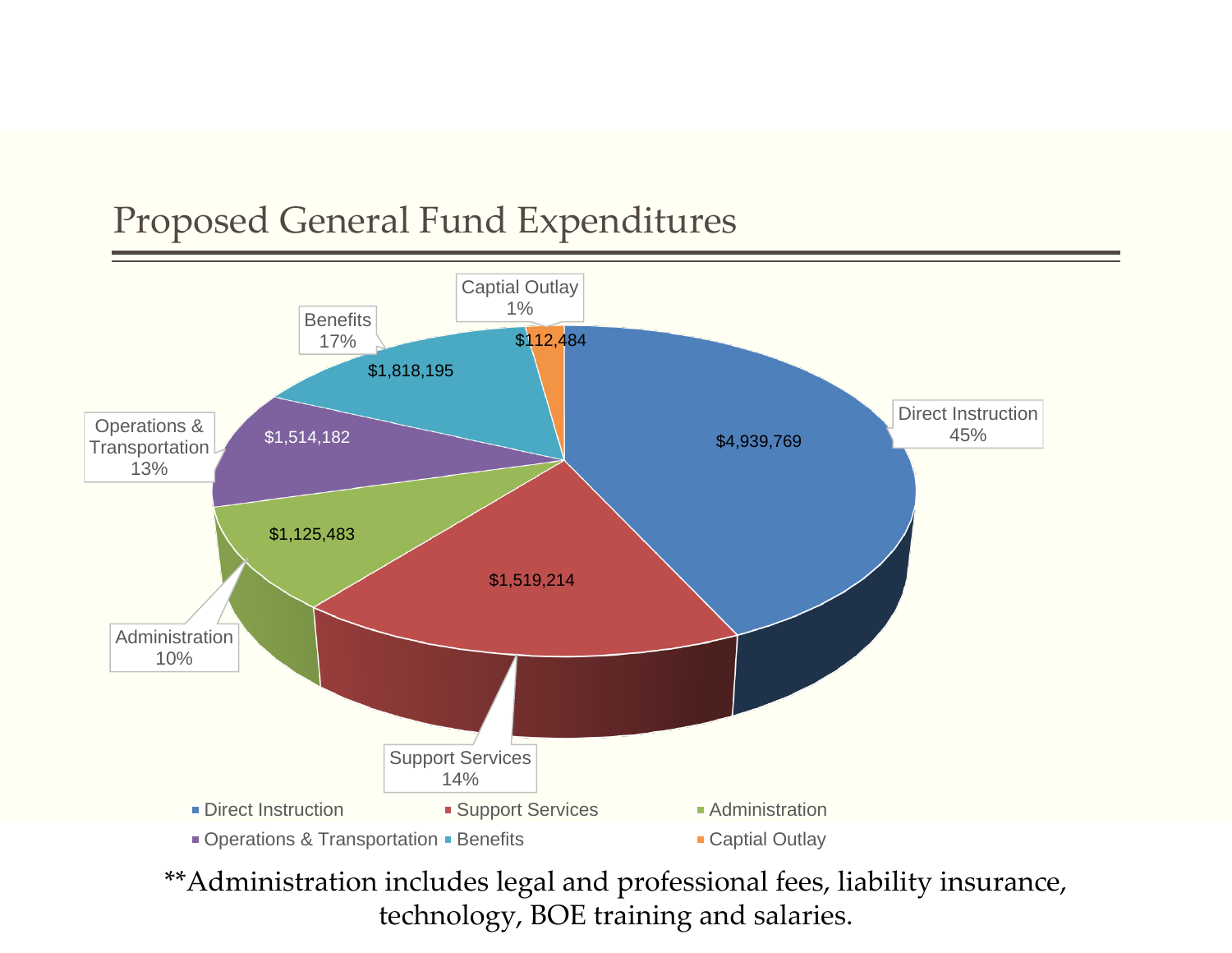### Proposed General Fund Expenditures



\*\*Administration includes legal and professional fees, liability insurance, technology, BOE training and salaries.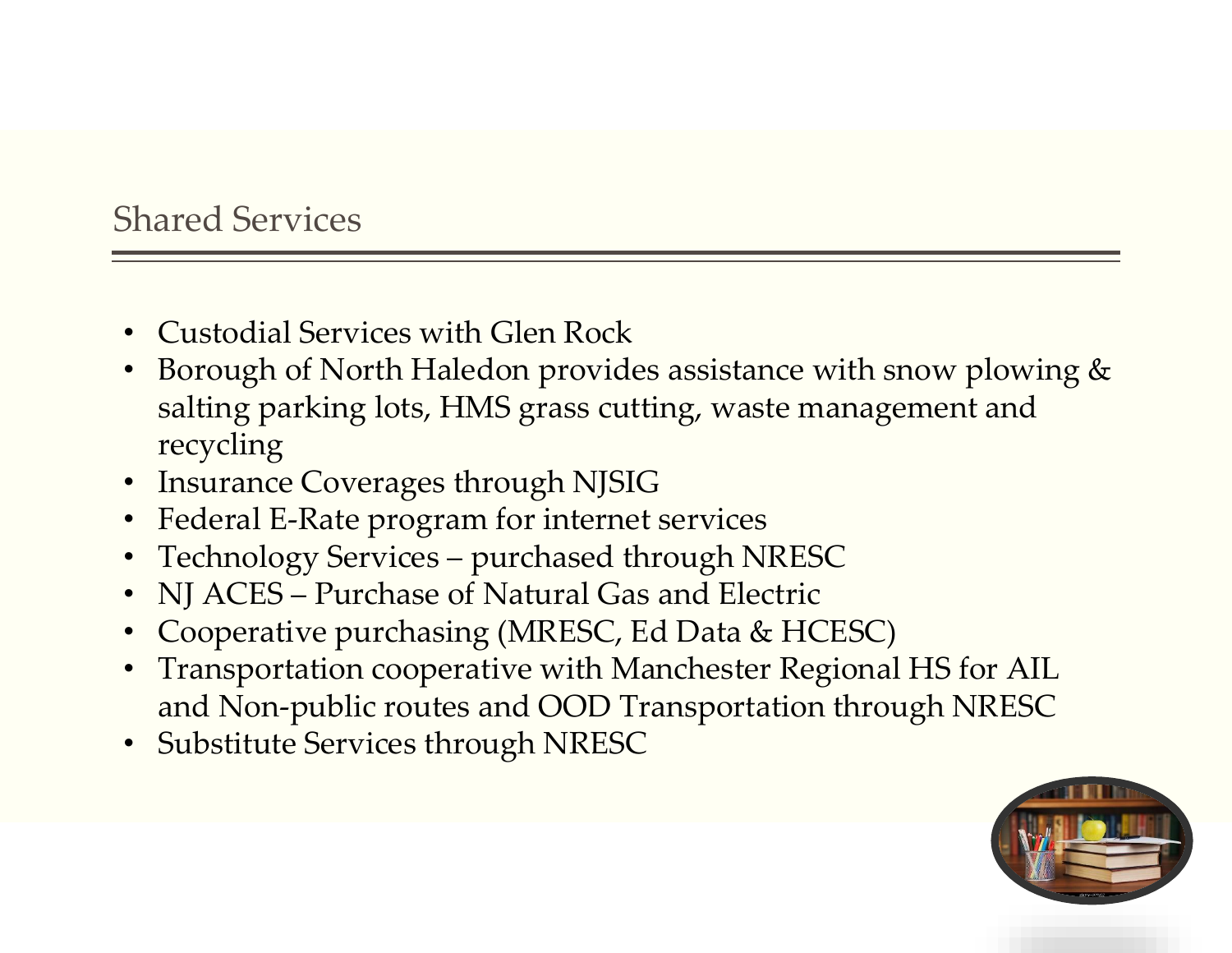#### Shared Services

- Custodial Services with Glen Rock
- Borough of North Haledon provides assistance with snow plowing & salting parking lots, HMS grass cutting, waste management and recycling
- Insurance Coverages through NJSIG
- Federal E-Rate program for internet services
- Technology Services purchased through NRESC
- NJ ACES Purchase of Natural Gas and Electric
- Cooperative purchasing (MRESC, Ed Data & HCESC)
- Transportation cooperative with Manchester Regional HS for AIL and Non-public routes and OOD Transportation through NRESC
- Substitute Services through NRESC

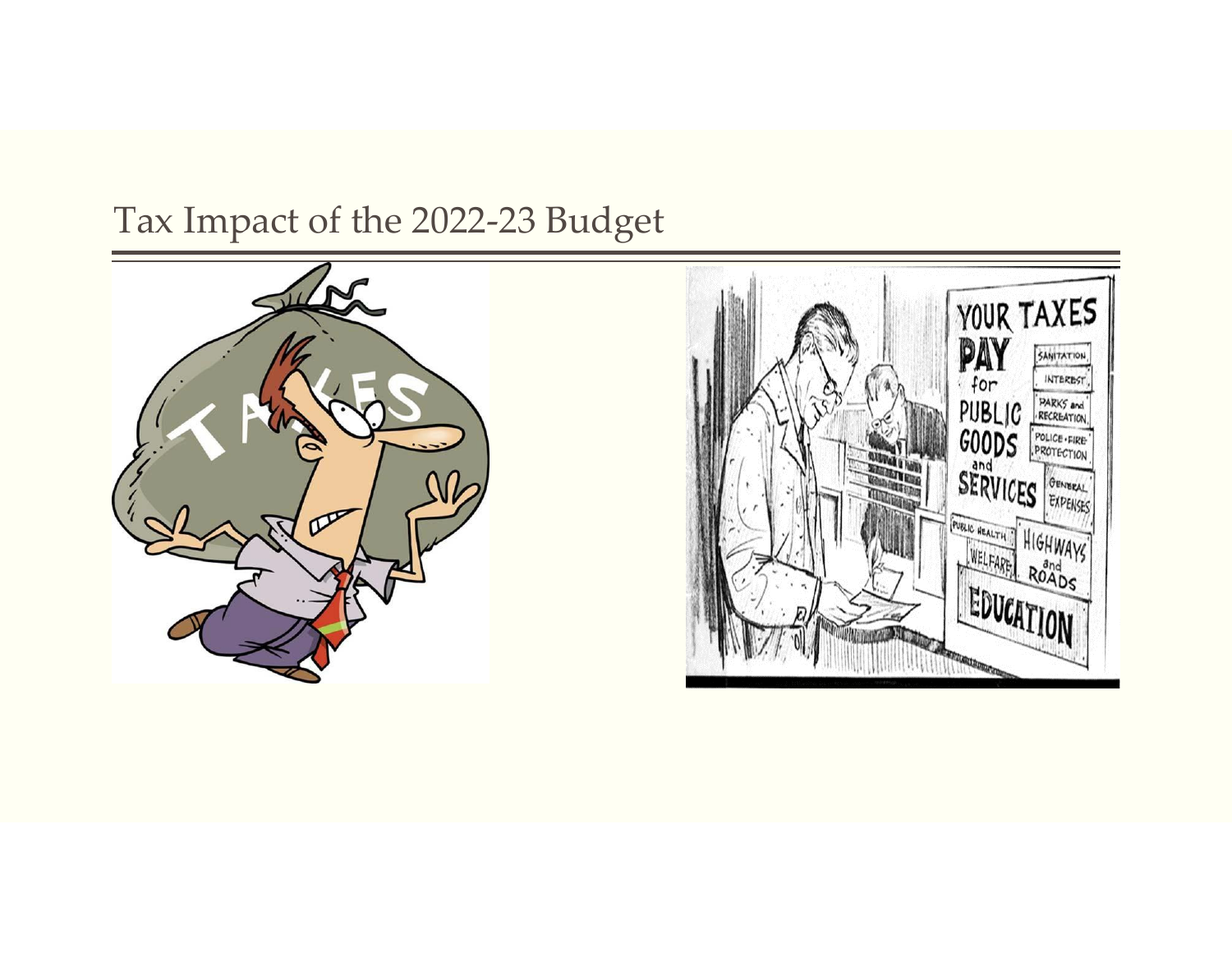### Tax Impact of the 2022-23 Budget



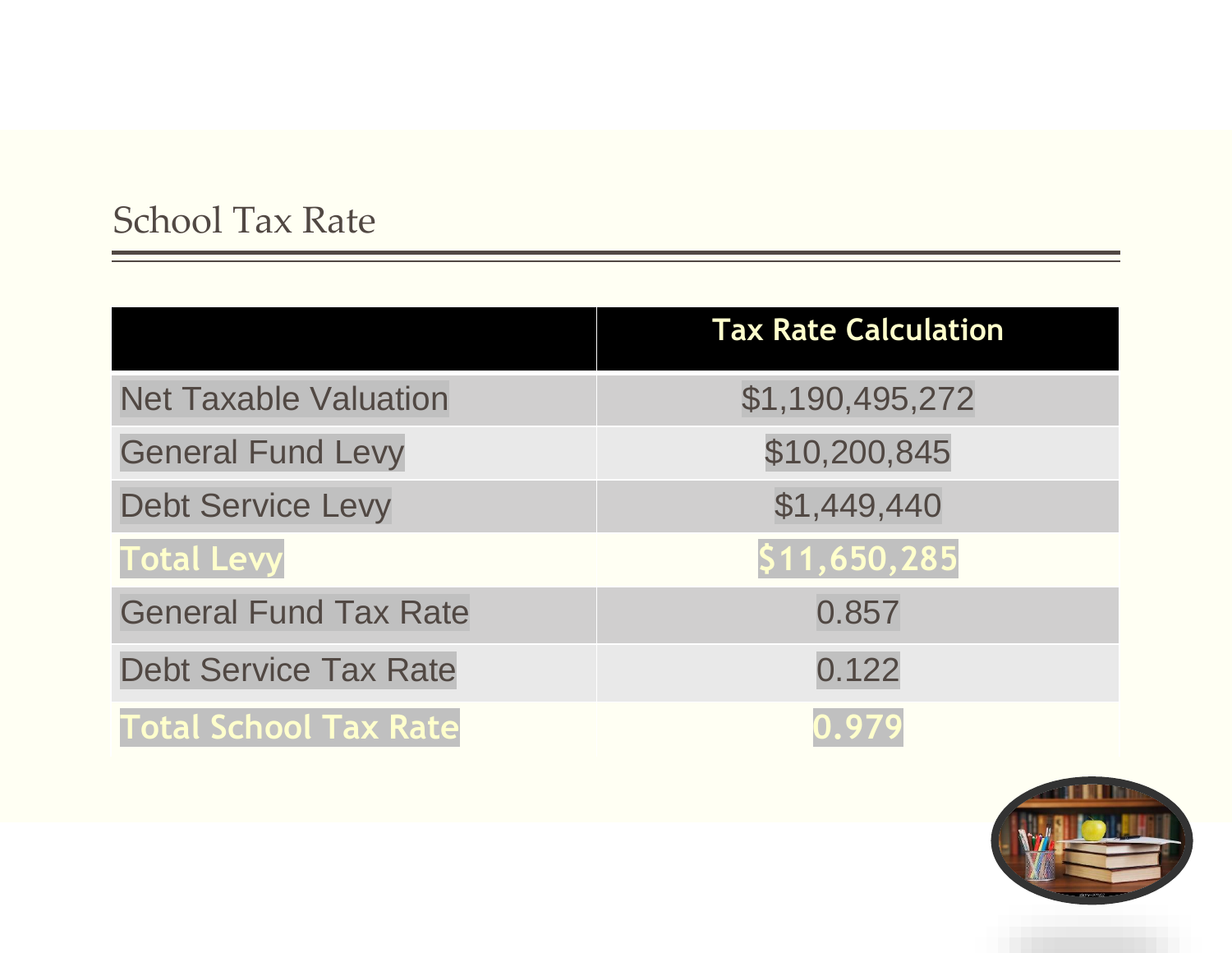### School Tax Rate

|                              | <b>Tax Rate Calculation</b> |
|------------------------------|-----------------------------|
| <b>Net Taxable Valuation</b> | \$1,190,495,272             |
| <b>General Fund Levy</b>     | \$10,200,845                |
| <b>Debt Service Levy</b>     | \$1,449,440                 |
| <b>Total Levy</b>            | \$11,650,285                |
| <b>General Fund Tax Rate</b> | 0.857                       |
| <b>Debt Service Tax Rate</b> | 0.122                       |
| <b>Total School Tax Rate</b> | 0.979                       |

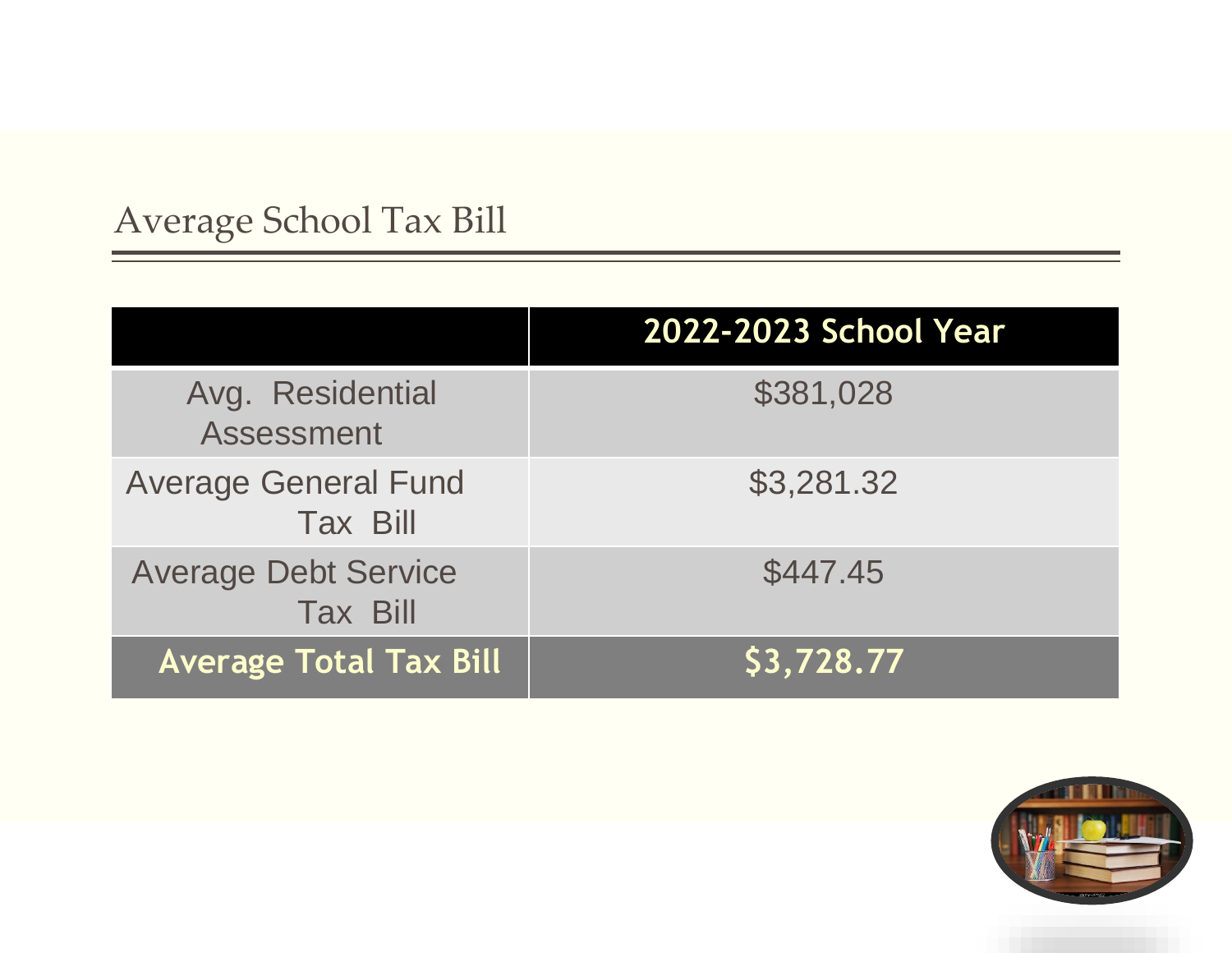## Average School Tax Bill

|                                                | 2022-2023 School Year |
|------------------------------------------------|-----------------------|
| Avg. Residential<br><b>Assessment</b>          | \$381,028             |
| <b>Average General Fund</b><br><b>Tax Bill</b> | \$3,281.32            |
| <b>Average Debt Service</b><br><b>Tax Bill</b> | \$447.45              |
| <b>Average Total Tax Bill</b>                  | \$3,728.77            |

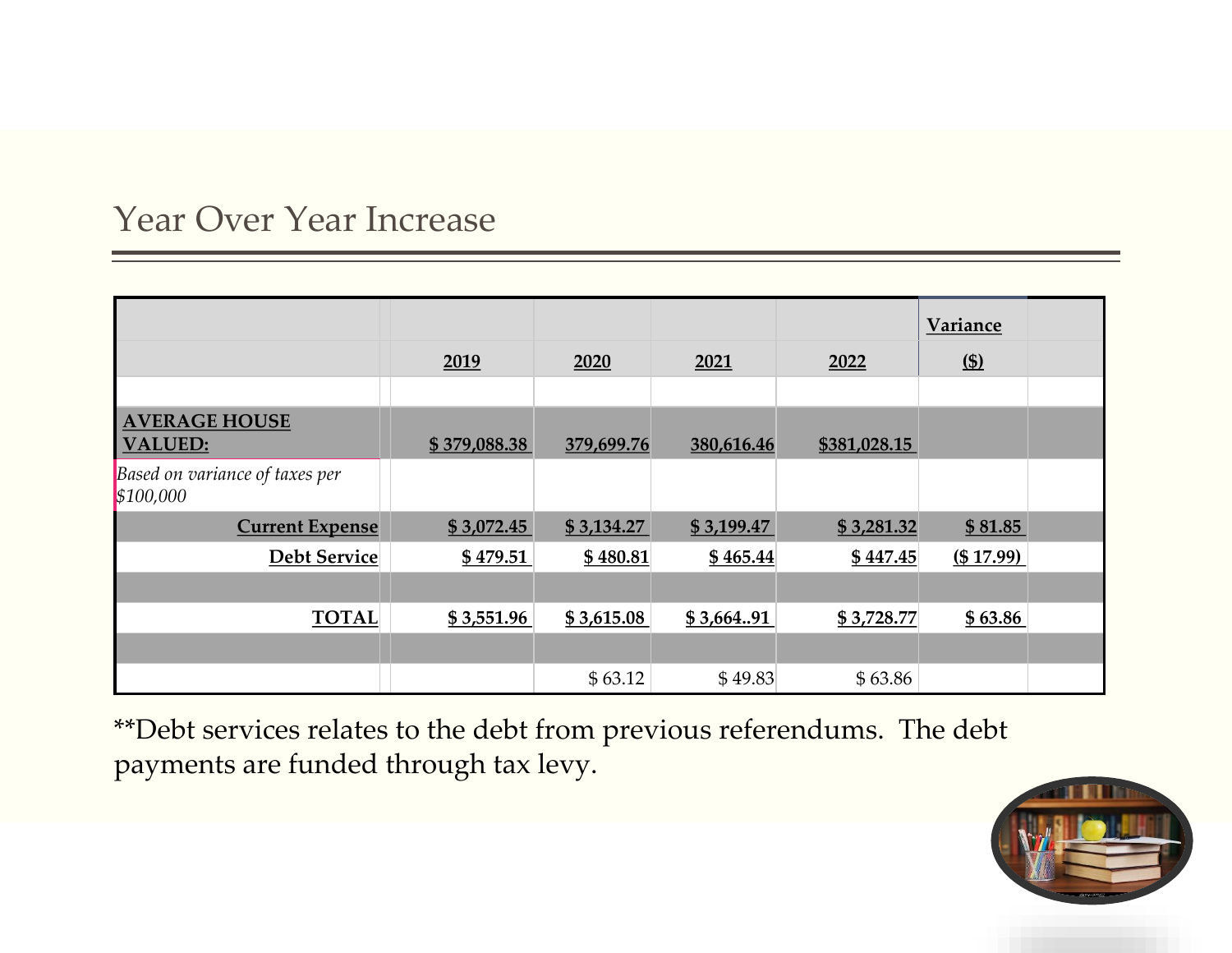#### Year Over Year Increase

|                                             | 2019         | 2020       | 2021       | 2022         | <b>Variance</b><br>$(s)$ |  |
|---------------------------------------------|--------------|------------|------------|--------------|--------------------------|--|
|                                             |              |            |            |              |                          |  |
|                                             |              |            |            |              |                          |  |
| <b>AVERAGE HOUSE</b><br><b>VALUED:</b>      | \$379,088.38 | 379,699.76 | 380,616.46 | \$381,028.15 |                          |  |
| Based on variance of taxes per<br>\$100,000 |              |            |            |              |                          |  |
| <b>Current Expense</b>                      | \$3,072.45   | \$3,134.27 | \$3,199.47 | \$3,281.32   | \$81.85                  |  |
| <b>Debt Service</b>                         | \$479.51     | \$480.81   | \$465.44   | \$447.45     | (\$17.99)                |  |
|                                             |              |            |            |              |                          |  |
| <b>TOTAL</b>                                | \$3,551.96   | \$3,615.08 | \$3,664.91 | \$3,728.77   | \$63.86                  |  |
|                                             |              |            |            |              |                          |  |
|                                             |              | \$63.12    | \$49.83    | \$63.86      |                          |  |

\*\*Debt services relates to the debt from previous referendums. The debt payments are funded through tax levy.

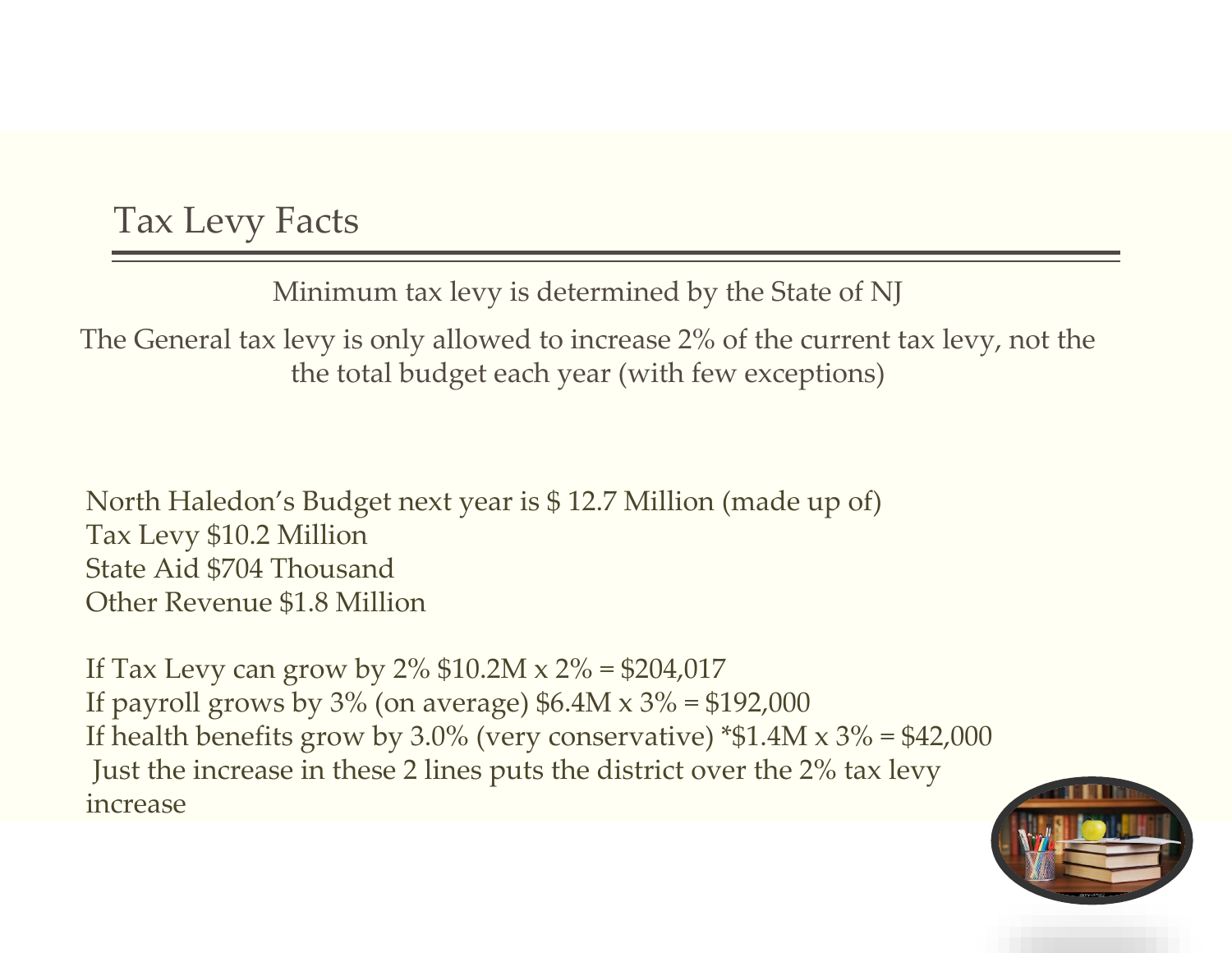### Tax Levy Facts

Minimum tax levy is determined by the State of NJ

The General tax levy is only allowed to increase 2% of the current tax levy, not the the total budget each year (with few exceptions)

North Haledon's Budget next year is \$ 12.7 Million (made up of) Tax Levy \$10.2 Million State Aid \$704 Thousand Other Revenue \$1.8 Million

If Tax Levy can grow by  $2\%$  \$10.2M x  $2\%$  = \$204,017 If payroll grows by  $3\%$  (on average)  $$6.4M \times 3\% = $192,000$ If health benefits grow by 3.0% (very conservative)  $*1.4M \times 3\% = 42,000$ Just the increase in these 2 lines puts the district over the 2% tax levy increase

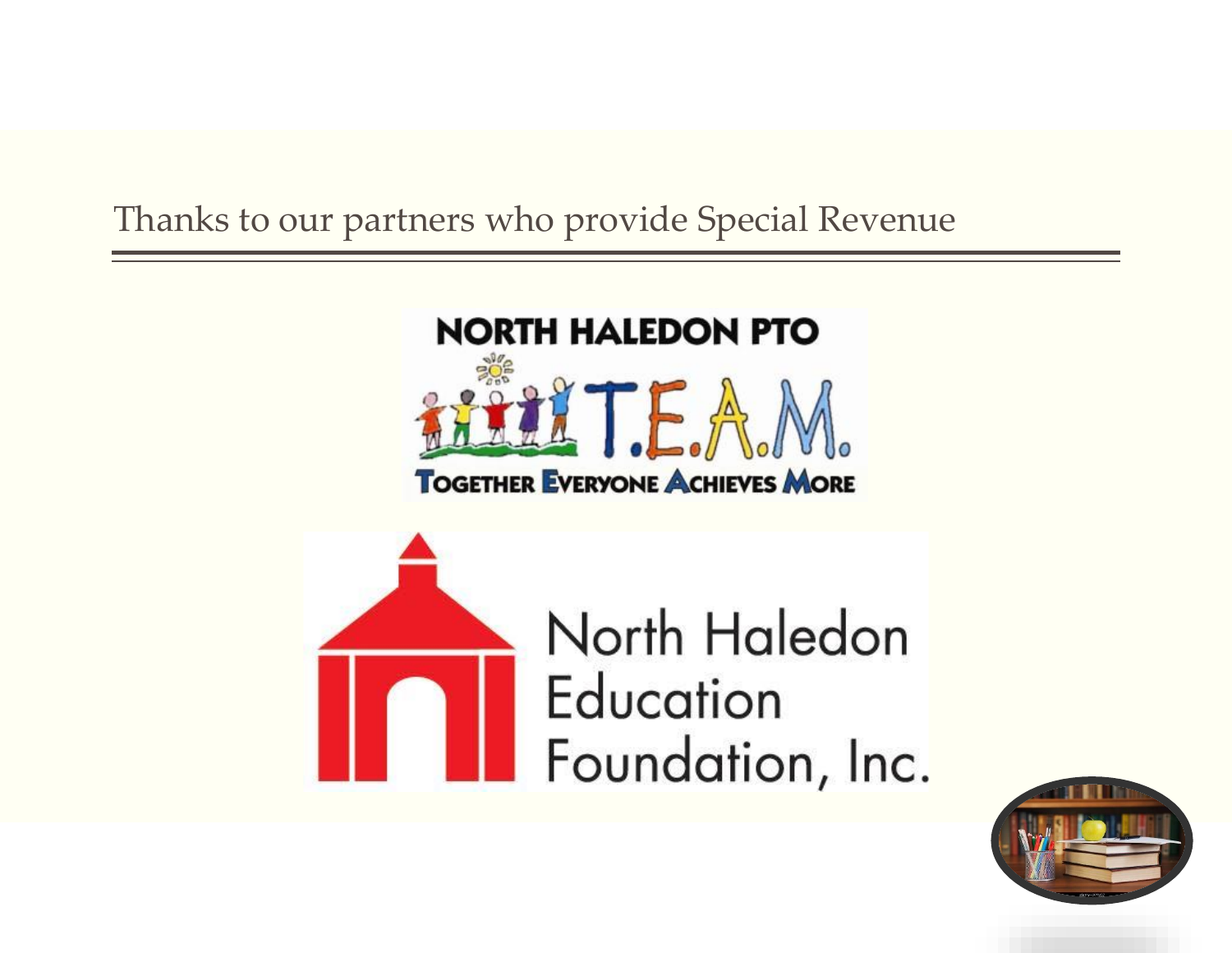### Thanks to our partners who provide Special Revenue



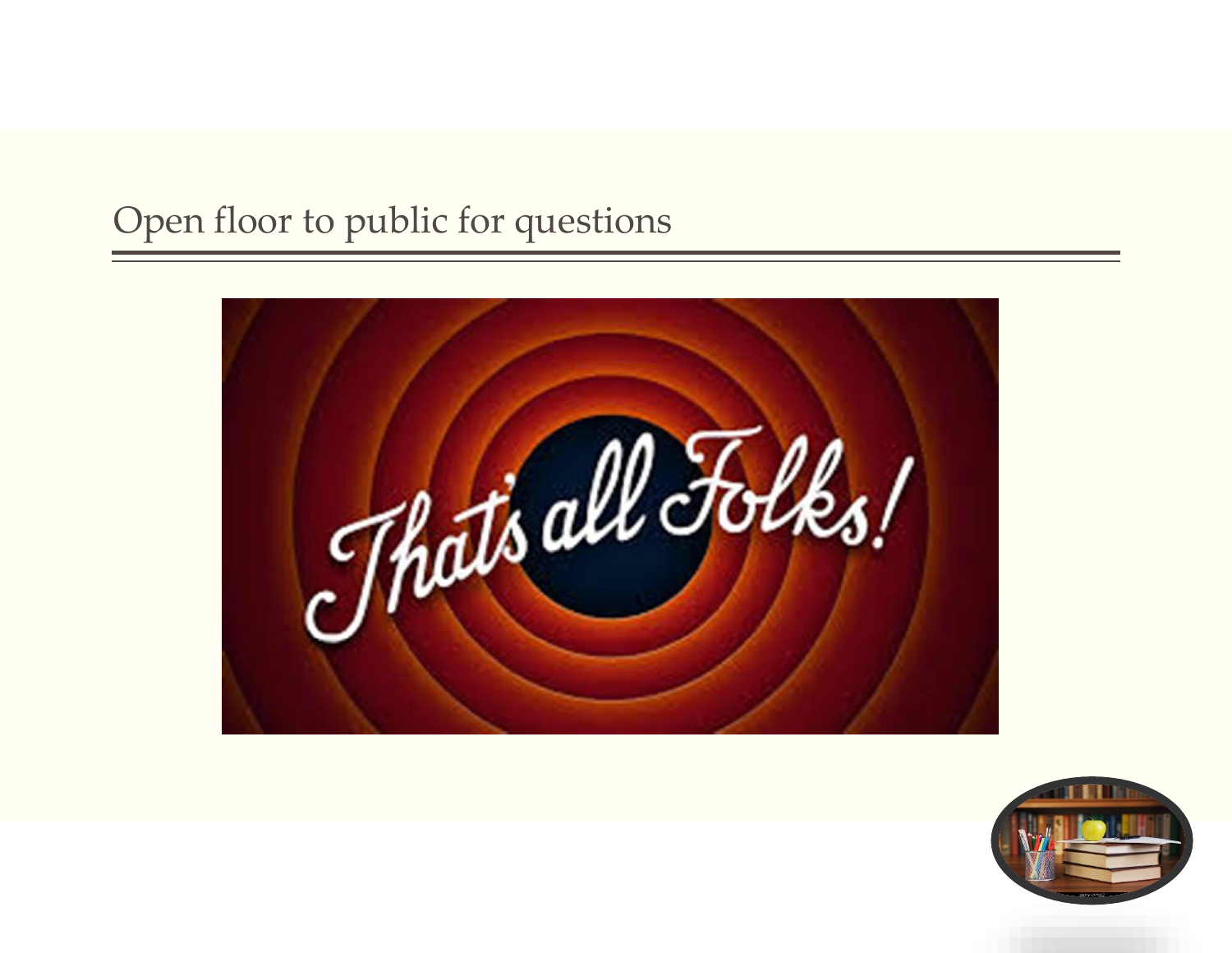### Open floor to public for questions